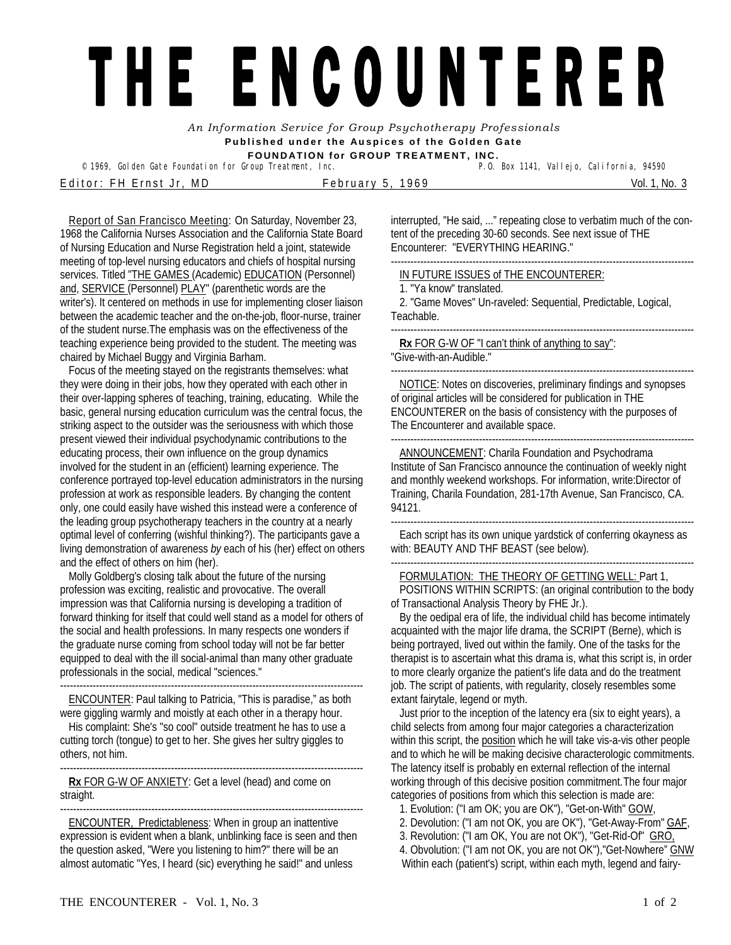## THE ENCOUNTERER

*An Information Service for Group Psychotherapy Professionals*  **Published under the Auspices of the Golden Gate FOUNDATION for GROUP TREATMENT, INC.** 

<sup>©</sup> 1969, Golden Gate Foundation for Group Treatment, Inc. E ditor: FH Ernst Jr, MD February 5, 1969 Nol. 1, No. 3

Report of San Francisco Meeting: On Saturday, November 23, 1968 the California Nurses Association and the California State Board of Nursing Education and Nurse Registration held a joint, statewide meeting of top-level nursing educators and chiefs of hospital nursing services. Titled "THE GAMES (Academic) EDUCATION (Personnel) and, SERVICE (Personnel) PLAY" (parenthetic words are the writer's). It centered on methods in use for implementing closer liaison between the academic teacher and the on-the-job, floor-nurse, trainer of the student nurse.The emphasis was on the effectiveness of the teaching experience being provided to the student. The meeting was chaired by Michael Buggy and Virginia Barham.

Focus of the meeting stayed on the registrants themselves: what they were doing in their jobs, how they operated with each other in their over-lapping spheres of teaching, training, educating. While the basic, general nursing education curriculum was the central focus, the striking aspect to the outsider was the seriousness with which those present viewed their individual psychodynamic contributions to the educating process, their own influence on the group dynamics involved for the student in an (efficient) learning experience. The conference portrayed top-level education administrators in the nursing profession at work as responsible leaders. By changing the content only, one could easily have wished this instead were a conference of the leading group psychotherapy teachers in the country at a nearly optimal level of conferring (wishful thinking?). The participants gave a living demonstration of awareness *by* each of his (her) effect on others and the effect of others on him (her).

Molly Goldberg's closing talk about the future of the nursing profession was exciting, realistic and provocative. The overall impression was that California nursing is developing a tradition of forward thinking for itself that could well stand as a model for others of the social and health professions. In many respects one wonders if the graduate nurse coming from school today will not be far better equipped to deal with the ill social-animal than many other graduate professionals in the social, medical "sciences."

ENCOUNTER: Paul talking to Patricia, "This is paradise," as both were giggling warmly and moistly at each other in a therapy hour.

His complaint: She's "so cool" outside treatment he has to use a cutting torch (tongue) to get to her. She gives her sultry giggles to others, not him.

--------------------------------------------------------------------------------------------- **Rx** FOR G-W OF ANXIETY: Get a level (head) and come on straight.

---------------------------------------------------------------------------------------------

ENCOUNTER, Predictableness: When in group an inattentive expression is evident when a blank, unblinking face is seen and then the question asked, "Were you listening to him?" there will be an almost automatic "Yes, I heard (sic) everything he said!" and unless

interrupted, "He said, ..." repeating close to verbatim much of the content of the preceding 30-60 seconds. See next issue of THE Encounterer: "EVERYTHING HEARING."

IN FUTURE ISSUES of THE ENCOUNTERER:

1. "Ya know" translated.

---------------------------------------------------------------------------------------------

2. "Game Moves" Un-raveled: Sequential, Predictable, Logical, Teachable.

--------------------------------------------------------------------------------------------- **Rx** FOR G-W OF "I can't think of anything to say":

"Give-with-an-Audible."

--------------------------------------------------------------------------------------------- NOTICE: Notes on discoveries, preliminary findings and synopses of original articles will be considered for publication in THE ENCOUNTERER on the basis of consistency with the purposes of The Encounterer and available space.

---------------------------------------------------------------------------------------------

---------------------------------------------------------------------------------------------

ANNOUNCEMENT: Charila Foundation and Psychodrama Institute of San Francisco announce the continuation of weekly night and monthly weekend workshops. For information, write:Director of Training, Charila Foundation, 281-17th Avenue, San Francisco, CA. 94121.

--------------------------------------------------------------------------------------------- Each script has its own unique yardstick of conferring okayness as with: BEAUTY AND THF BEAST (see below).

FORMULATION: THE THEORY OF GETTING WELL: Part 1,

POSITIONS WITHIN SCRIPTS: (an original contribution to the body of Transactional Analysis Theory by FHE Jr.).

By the oedipal era of life, the individual child has become intimately acquainted with the major life drama, the SCRIPT (Berne), which is being portrayed, lived out within the family. One of the tasks for the therapist is to ascertain what this drama is, what this script is, in order to more clearly organize the patient's life data and do the treatment job. The script of patients, with regularity, closely resembles some extant fairytale, legend or myth.

Just prior to the inception of the latency era (six to eight years), a child selects from among four major categories a characterization within this script, the position which he will take vis-a-vis other people and to which he will be making decisive characterologic commitments. The latency itself is probably en external reflection of the internal working through of this decisive position commitment. The four major categories of positions from which this selection is made are:

1. Evolution: ("I am OK; you are OK"), "Get-on-With" GOW,

- 2. Devolution: ("I am not OK, you are OK"), "Get-Away-From" GAF,
- 3. Revolution: ("I am OK, You are not OK"), "Get-Rid-Of" GRO,

4. Obvolution: ("I am not OK, you are not OK"),"Get-Nowhere" GNW Within each (patient's) script, within each myth, legend and fairy-

---------------------------------------------------------------------------------------------